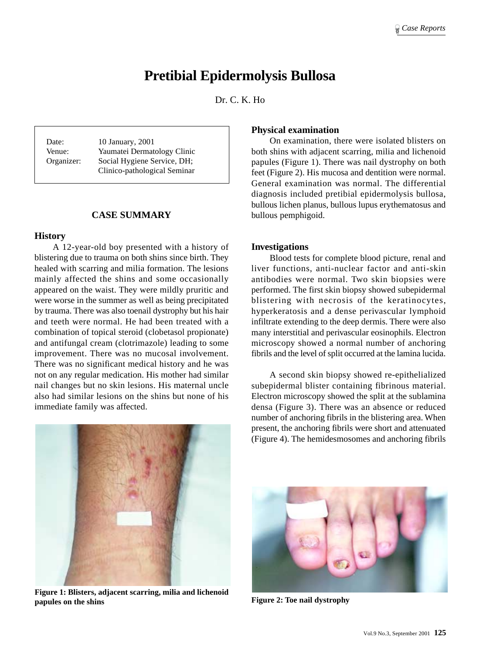# **Pretibial Epidermolysis Bullosa**

Dr. C. K. Ho

Date: 10 January, 2001 Venue: Yaumatei Dermatology Clinic Organizer: Social Hygiene Service, DH; Clinico-pathological Seminar

#### **CASE SUMMARY**

#### **History**

A 12-year-old boy presented with a history of blistering due to trauma on both shins since birth. They healed with scarring and milia formation. The lesions mainly affected the shins and some occasionally appeared on the waist. They were mildly pruritic and were worse in the summer as well as being precipitated by trauma. There was also toenail dystrophy but his hair and teeth were normal. He had been treated with a combination of topical steroid (clobetasol propionate) and antifungal cream (clotrimazole) leading to some improvement. There was no mucosal involvement. There was no significant medical history and he was not on any regular medication. His mother had similar nail changes but no skin lesions. His maternal uncle also had similar lesions on the shins but none of his immediate family was affected.



**Figure 1: Blisters, adjacent scarring, milia and lichenoid papules on the shins Figure 2: Toe nail dystrophy** 

#### **Physical examination**

On examination, there were isolated blisters on both shins with adjacent scarring, milia and lichenoid papules (Figure 1). There was nail dystrophy on both feet (Figure 2). His mucosa and dentition were normal. General examination was normal. The differential diagnosis included pretibial epidermolysis bullosa, bullous lichen planus, bullous lupus erythematosus and bullous pemphigoid.

#### **Investigations**

Blood tests for complete blood picture, renal and liver functions, anti-nuclear factor and anti-skin antibodies were normal. Two skin biopsies were performed. The first skin biopsy showed subepidermal blistering with necrosis of the keratinocytes, hyperkeratosis and a dense perivascular lymphoid infiltrate extending to the deep dermis. There were also many interstitial and perivascular eosinophils. Electron microscopy showed a normal number of anchoring fibrils and the level of split occurred at the lamina lucida.

A second skin biopsy showed re-epithelialized subepidermal blister containing fibrinous material. Electron microscopy showed the split at the sublamina densa (Figure 3). There was an absence or reduced number of anchoring fibrils in the blistering area. When present, the anchoring fibrils were short and attenuated (Figure 4). The hemidesmosomes and anchoring fibrils

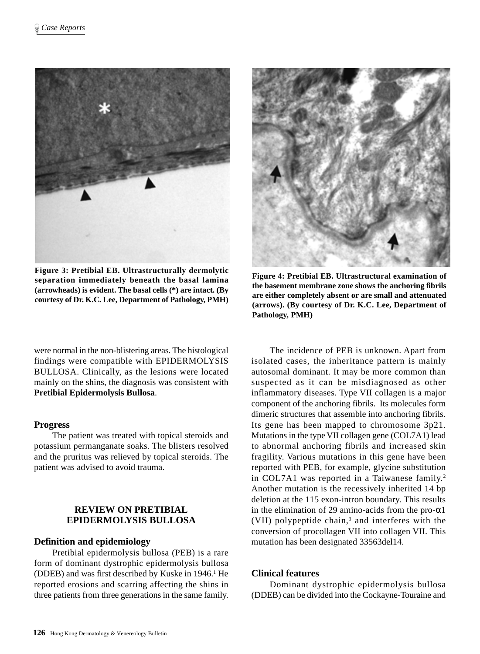

**Figure 3: Pretibial EB. Ultrastructurally dermolytic separation immediately beneath the basal lamina (arrowheads) is evident. The basal cells (\*) are intact. (By courtesy of Dr. K.C. Lee, Department of Pathology, PMH)**

were normal in the non-blistering areas. The histological findings were compatible with EPIDERMOLYSIS BULLOSA. Clinically, as the lesions were located mainly on the shins, the diagnosis was consistent with **Pretibial Epidermolysis Bullosa**.

#### **Progress**

The patient was treated with topical steroids and potassium permanganate soaks. The blisters resolved and the pruritus was relieved by topical steroids. The patient was advised to avoid trauma.

# **REVIEW ON PRETIBIAL EPIDERMOLYSIS BULLOSA**

#### **Definition and epidemiology**

Pretibial epidermolysis bullosa (PEB) is a rare form of dominant dystrophic epidermolysis bullosa (DDEB) and was first described by Kuske in 1946.<sup>1</sup> He reported erosions and scarring affecting the shins in three patients from three generations in the same family.



**Figure 4: Pretibial EB. Ultrastructural examination of the basement membrane zone shows the anchoring fibrils are either completely absent or are small and attenuated (arrows). (By courtesy of Dr. K.C. Lee, Department of Pathology, PMH)**

The incidence of PEB is unknown. Apart from isolated cases, the inheritance pattern is mainly autosomal dominant. It may be more common than suspected as it can be misdiagnosed as other inflammatory diseases. Type VII collagen is a major component of the anchoring fibrils. Its molecules form dimeric structures that assemble into anchoring fibrils. Its gene has been mapped to chromosome 3p21. Mutations in the type VII collagen gene (COL7A1) lead to abnormal anchoring fibrils and increased skin fragility. Various mutations in this gene have been reported with PEB, for example, glycine substitution in COL7A1 was reported in a Taiwanese family.<sup>2</sup> Another mutation is the recessively inherited 14 bp deletion at the 115 exon-intron boundary. This results in the elimination of 29 amino-acids from the pro- $\alpha$ 1 (VII) polypeptide chain,<sup>3</sup> and interferes with the conversion of procollagen VII into collagen VII. This mutation has been designated 33563del14.

#### **Clinical features**

Dominant dystrophic epidermolysis bullosa (DDEB) can be divided into the Cockayne-Touraine and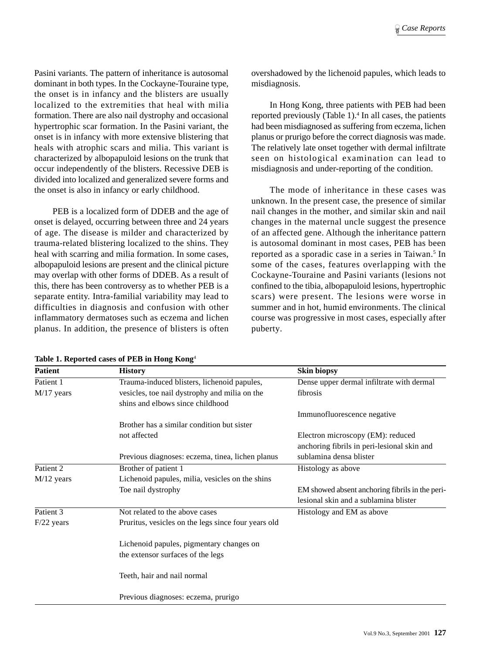Pasini variants. The pattern of inheritance is autosomal dominant in both types. In the Cockayne-Touraine type, the onset is in infancy and the blisters are usually localized to the extremities that heal with milia formation. There are also nail dystrophy and occasional hypertrophic scar formation. In the Pasini variant, the onset is in infancy with more extensive blistering that heals with atrophic scars and milia. This variant is characterized by albopapuloid lesions on the trunk that occur independently of the blisters. Recessive DEB is divided into localized and generalized severe forms and the onset is also in infancy or early childhood.

PEB is a localized form of DDEB and the age of onset is delayed, occurring between three and 24 years of age. The disease is milder and characterized by trauma-related blistering localized to the shins. They heal with scarring and milia formation. In some cases, albopapuloid lesions are present and the clinical picture may overlap with other forms of DDEB. As a result of this, there has been controversy as to whether PEB is a separate entity. Intra-familial variability may lead to difficulties in diagnosis and confusion with other inflammatory dermatoses such as eczema and lichen planus. In addition, the presence of blisters is often overshadowed by the lichenoid papules, which leads to misdiagnosis.

In Hong Kong, three patients with PEB had been reported previously (Table 1).<sup>4</sup> In all cases, the patients had been misdiagnosed as suffering from eczema, lichen planus or prurigo before the correct diagnosis was made. The relatively late onset together with dermal infiltrate seen on histological examination can lead to misdiagnosis and under-reporting of the condition.

The mode of inheritance in these cases was unknown. In the present case, the presence of similar nail changes in the mother, and similar skin and nail changes in the maternal uncle suggest the presence of an affected gene. Although the inheritance pattern is autosomal dominant in most cases, PEB has been reported as a sporadic case in a series in Taiwan.<sup>5</sup> In some of the cases, features overlapping with the Cockayne-Touraine and Pasini variants (lesions not confined to the tibia, albopapuloid lesions, hypertrophic scars) were present. The lesions were worse in summer and in hot, humid environments. The clinical course was progressive in most cases, especially after puberty.

| <b>Patient</b> | <b>History</b>                                      | <b>Skin biopsy</b>                              |
|----------------|-----------------------------------------------------|-------------------------------------------------|
| Patient 1      | Trauma-induced blisters, lichenoid papules,         | Dense upper dermal infiltrate with dermal       |
| $M/17$ years   | vesicles, toe nail dystrophy and milia on the       | fibrosis                                        |
|                | shins and elbows since childhood                    |                                                 |
|                |                                                     | Immunofluorescence negative                     |
|                | Brother has a similar condition but sister          |                                                 |
|                | not affected                                        | Electron microscopy (EM): reduced               |
|                |                                                     | anchoring fibrils in peri-lesional skin and     |
|                | Previous diagnoses: eczema, tinea, lichen planus    | sublamina densa blister                         |
| Patient 2      | Brother of patient 1                                | Histology as above                              |
| $M/12$ years   | Lichenoid papules, milia, vesicles on the shins     |                                                 |
|                | Toe nail dystrophy                                  | EM showed absent anchoring fibrils in the peri- |
|                |                                                     | lesional skin and a sublamina blister           |
| Patient 3      | Not related to the above cases                      | Histology and EM as above                       |
| $F/22$ years   | Pruritus, vesicles on the legs since four years old |                                                 |
|                | Lichenoid papules, pigmentary changes on            |                                                 |
|                | the extensor surfaces of the legs                   |                                                 |
|                | Teeth, hair and nail normal                         |                                                 |
|                | Previous diagnoses: eczema, prurigo                 |                                                 |

**Table 1. Reported cases of PEB in Hong Kong**<sup>4</sup>